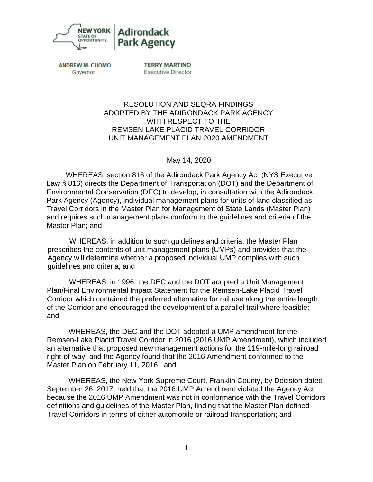

**ANDREW M. CUOMO** Governor

**TERRY MARTINO Executive Director** 

## RESOLUTION AND SEQRA FINDINGS ADOPTED BY THE ADIRONDACK PARK AGENCY WITH RESPECT TO THE REMSEN-LAKE PLACID TRAVEL CORRIDOR UNIT MANAGEMENT PLAN 2020 AMENDMENT

May 14, 2020

WHEREAS, section 816 of the Adirondack Park Agency Act (NYS Executive Law § 816) directs the Department of Transportation (DOT) and the Department of Environmental Conservation (DEC) to develop, in consultation with the Adirondack Park Agency (Agency), individual management plans for units of land classified as Travel Corridors in the Master Plan for Management of State Lands (Master Plan) and requires such management plans conform to the guidelines and criteria of the Master Plan; and

WHEREAS, in addition to such guidelines and criteria, the Master Plan prescribes the contents of unit management plans (UMPs) and provides that the Agency will determine whether a proposed individual UMP complies with such guidelines and criteria; and

WHEREAS, in 1996, the DEC and the DOT adopted a Unit Management Plan/Final Environmental Impact Statement for the Remsen-Lake Placid Travel Corridor which contained the preferred alternative for rail use along the entire length of the Corridor and encouraged the development of a parallel trail where feasible; and

WHEREAS, the DEC and the DOT adopted a UMP amendment for the Remsen-Lake Placid Travel Corridor in 2016 (2016 UMP Amendment), which included an alternative that proposed new management actions for the 119-mile-long railroad right-of-way, and the Agency found that the 2016 Amendment conformed to the Master Plan on February 11, 2016; and

WHEREAS, the New York Supreme Court, Franklin County, by Decision dated September 26, 2017, held that the 2016 UMP Amendment violated the Agency Act because the 2016 UMP Amendment was not in conformance with the Travel Corridors definitions and guidelines of the Master Plan, finding that the Master Plan defined Travel Corridors in terms of either automobile or railroad transportation; and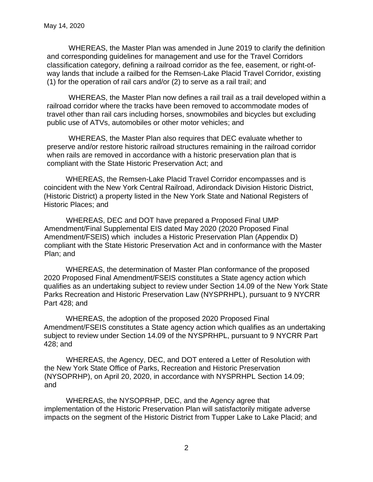WHEREAS, the Master Plan was amended in June 2019 to clarify the definition and corresponding guidelines for management and use for the Travel Corridors classification category, defining a railroad corridor as the fee, easement, or right-ofway lands that include a railbed for the Remsen-Lake Placid Travel Corridor, existing (1) for the operation of rail cars and/or (2) to serve as a rail trail; and

WHEREAS, the Master Plan now defines a rail trail as a trail developed within a railroad corridor where the tracks have been removed to accommodate modes of travel other than rail cars including horses, snowmobiles and bicycles but excluding public use of ATVs, automobiles or other motor vehicles; and

WHEREAS, the Master Plan also requires that DEC evaluate whether to preserve and/or restore historic railroad structures remaining in the railroad corridor when rails are removed in accordance with a historic preservation plan that is compliant with the State Historic Preservation Act; and

WHEREAS, the Remsen-Lake Placid Travel Corridor encompasses and is coincident with the New York Central Railroad, Adirondack Division Historic District, (Historic District) a property listed in the New York State and National Registers of Historic Places; and

WHEREAS, DEC and DOT have prepared a Proposed Final UMP Amendment/Final Supplemental EIS dated May 2020 (2020 Proposed Final Amendment/FSEIS) which includes a Historic Preservation Plan (Appendix D) compliant with the State Historic Preservation Act and in conformance with the Master Plan; and

WHEREAS, the determination of Master Plan conformance of the proposed 2020 Proposed Final Amendment/FSEIS constitutes a State agency action which qualifies as an undertaking subject to review under Section 14.09 of the New York State Parks Recreation and Historic Preservation Law (NYSPRHPL), pursuant to 9 NYCRR Part 428; and

WHEREAS, the adoption of the proposed 2020 Proposed Final Amendment/FSEIS constitutes a State agency action which qualifies as an undertaking subject to review under Section 14.09 of the NYSPRHPL, pursuant to 9 NYCRR Part 428; and

WHEREAS, the Agency, DEC, and DOT entered a Letter of Resolution with the New York State Office of Parks, Recreation and Historic Preservation (NYSOPRHP), on April 20, 2020, in accordance with NYSPRHPL Section 14.09; and

WHEREAS, the NYSOPRHP, DEC, and the Agency agree that implementation of the Historic Preservation Plan will satisfactorily mitigate adverse impacts on the segment of the Historic District from Tupper Lake to Lake Placid; and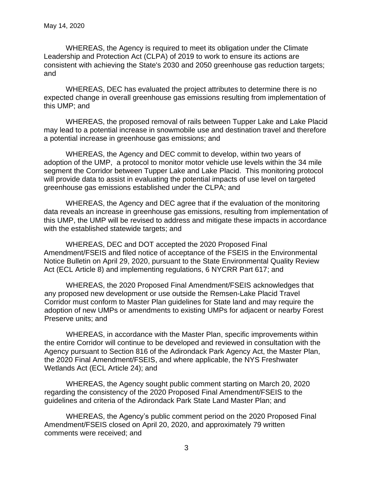WHEREAS, the Agency is required to meet its obligation under the Climate Leadership and Protection Act (CLPA) of 2019 to work to ensure its actions are consistent with achieving the State's 2030 and 2050 greenhouse gas reduction targets; and

WHEREAS, DEC has evaluated the project attributes to determine there is no expected change in overall greenhouse gas emissions resulting from implementation of this UMP; and

WHEREAS, the proposed removal of rails between Tupper Lake and Lake Placid may lead to a potential increase in snowmobile use and destination travel and therefore a potential increase in greenhouse gas emissions; and

WHEREAS, the Agency and DEC commit to develop, within two years of adoption of the UMP, a protocol to monitor motor vehicle use levels within the 34 mile segment the Corridor between Tupper Lake and Lake Placid. This monitoring protocol will provide data to assist in evaluating the potential impacts of use level on targeted greenhouse gas emissions established under the CLPA; and

WHEREAS, the Agency and DEC agree that if the evaluation of the monitoring data reveals an increase in greenhouse gas emissions, resulting from implementation of this UMP, the UMP will be revised to address and mitigate these impacts in accordance with the established statewide targets; and

WHEREAS, DEC and DOT accepted the 2020 Proposed Final Amendment/FSEIS and filed notice of acceptance of the FSEIS in the Environmental Notice Bulletin on April 29, 2020, pursuant to the State Environmental Quality Review Act (ECL Article 8) and implementing regulations, 6 NYCRR Part 617; and

WHEREAS, the 2020 Proposed Final Amendment/FSEIS acknowledges that any proposed new development or use outside the Remsen-Lake Placid Travel Corridor must conform to Master Plan guidelines for State land and may require the adoption of new UMPs or amendments to existing UMPs for adjacent or nearby Forest Preserve units; and

WHEREAS, in accordance with the Master Plan, specific improvements within the entire Corridor will continue to be developed and reviewed in consultation with the Agency pursuant to Section 816 of the Adirondack Park Agency Act, the Master Plan, the 2020 Final Amendment/FSEIS, and where applicable, the NYS Freshwater Wetlands Act (ECL Article 24); and

WHEREAS, the Agency sought public comment starting on March 20, 2020 regarding the consistency of the 2020 Proposed Final Amendment/FSEIS to the guidelines and criteria of the Adirondack Park State Land Master Plan; and

WHEREAS, the Agency's public comment period on the 2020 Proposed Final Amendment/FSEIS closed on April 20, 2020, and approximately 79 written comments were received; and